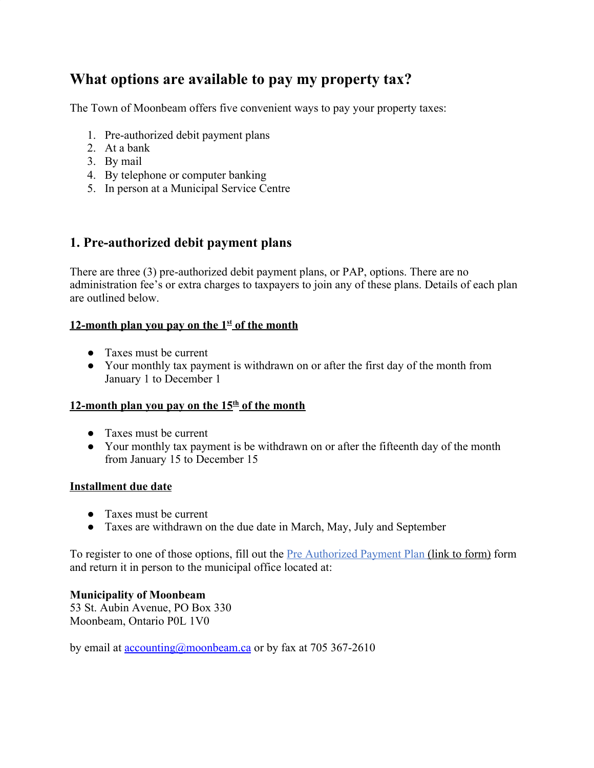# **What options are available to pay my property tax?**

The Town of Moonbeam offers five convenient ways to pay your property taxes:

- 1. Pre-authorized debit payment plans
- 2. At a bank
- 3. By mail
- 4. By telephone or computer banking
- 5. In person at a Municipal Service Centre

## **1. Pre-authorized debit payment plans**

There are three (3) pre-authorized debit payment plans, or PAP, options. There are no administration fee's or extra charges to taxpayers to join any of these plans. Details of each plan are outlined below.

#### **12-month plan you pay on the 1st of the month**

- Taxes must be current
- Your monthly tax payment is withdrawn on or after the first day of the month from January 1 to December 1

#### **12-month plan you pay on the 15th of the month**

- Taxes must be current
- Your monthly tax payment is be withdrawn on or after the fifteenth day of the month from January 15 to December 15

#### **Installment due date**

- Taxes must be current
- Taxes are withdrawn on the due date in March, May, July and September

To register to one of those options, fill out the **Pre Authorized Payment Plan (link to form)** form and return it in person to the municipal office located at:

#### **Municipality of Moonbeam**

53 St. Aubin Avenue, PO Box 330 Moonbeam, Ontario P0L 1V0

by email at [accounting@moonbeam.ca](mailto:accounting@moonbeam.ca) or by fax at 705 367-2610